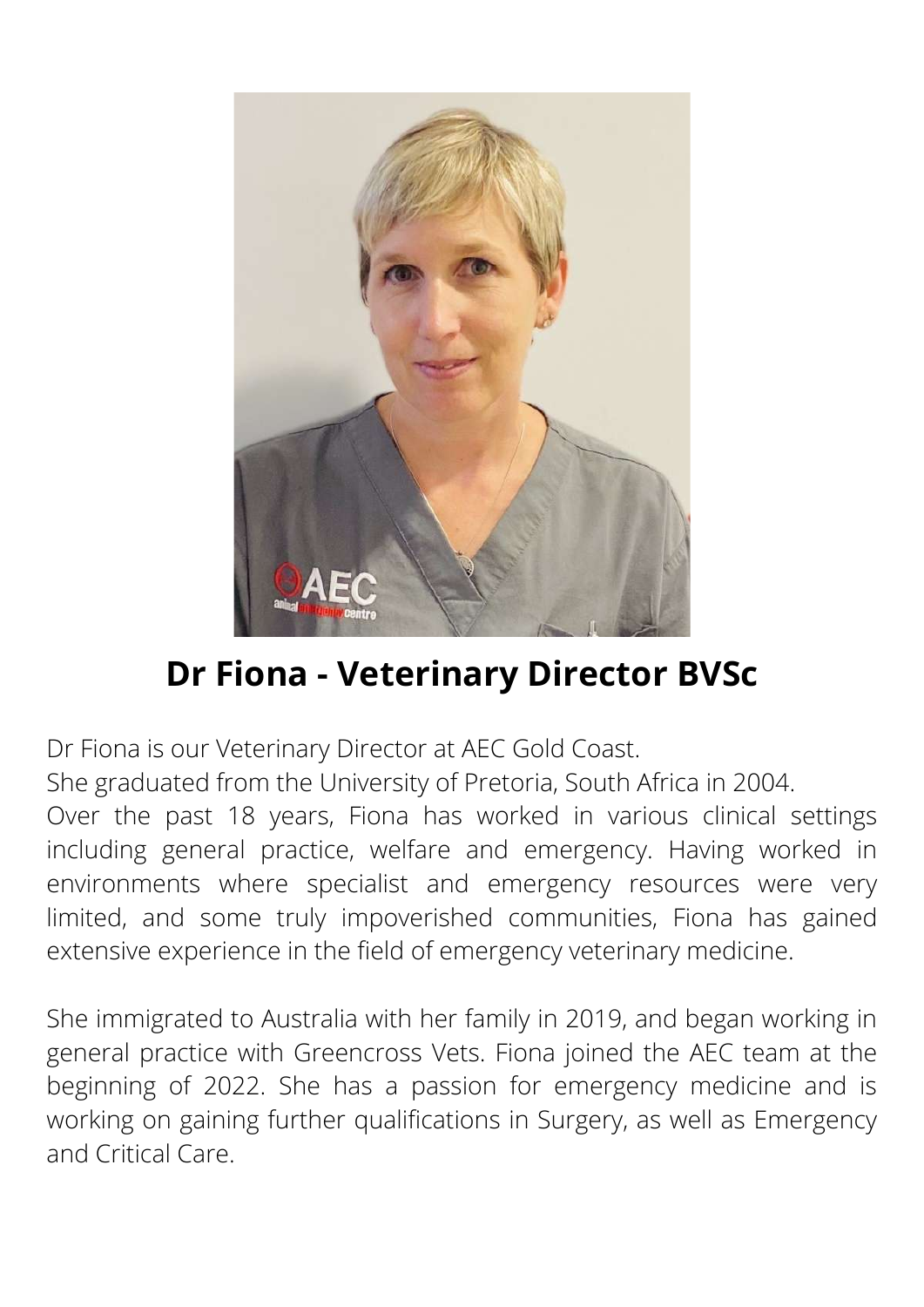

# **Dr Fiona - Veterinary Director BVSc**

Dr Fiona is our Veterinary Director at AEC Gold Coast.

She graduated from the University of Pretoria, South Africa in 2004.

Over the past 18 years, Fiona has worked in various clinical settings including general practice, welfare and emergency. Having worked in environments where specialist and emergency resources were very limited, and some truly impoverished communities, Fiona has gained extensive experience in the field of emergency veterinary medicine.

She immigrated to Australia with her family in 2019, and began working in general practice with Greencross Vets. Fiona joined the AEC team at the beginning of 2022. She has a passion for emergency medicine and is working on gaining further qualifications in Surgery, as well as Emergency and Critical Care.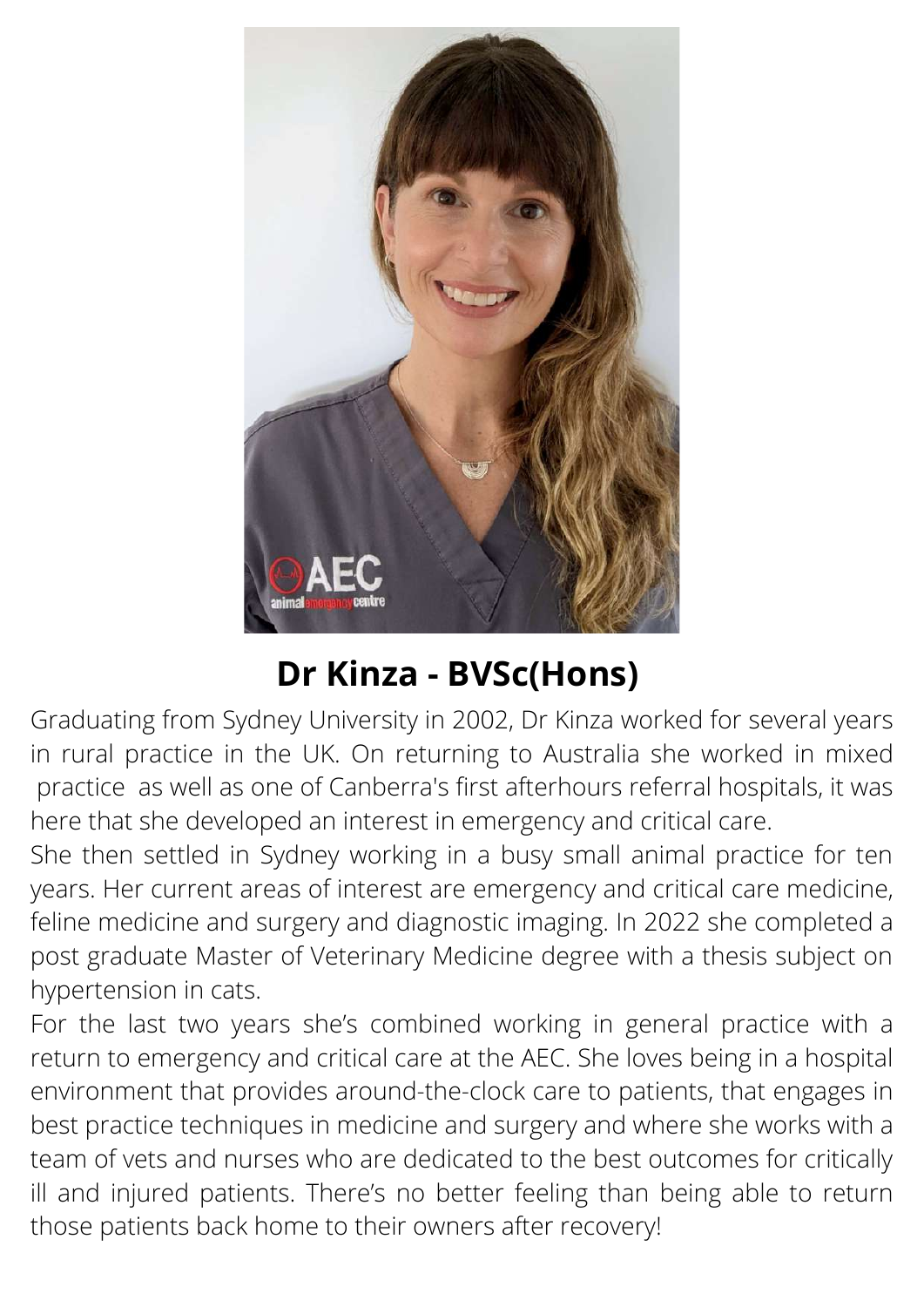

# **Dr Kinza - BVSc(Hons)**

Graduating from Sydney University in 2002, Dr Kinza worked for several years in rural practice in the UK. On returning to Australia she worked in mixed practice as well as one of Canberra's first afterhours referral hospitals, it was here that she developed an interest in emergency and critical care.

She then settled in Sydney working in a busy small animal practice for ten years. Her current areas of interest are emergency and critical care medicine, feline medicine and surgery and diagnostic imaging. In 2022 she completed a post graduate Master of Veterinary Medicine degree with a thesis subject on hypertension in cats.

For the last two years she's combined working in general practice with a return to emergency and critical care at the AEC. She loves being in a hospital environment that provides around-the-clock care to patients, that engages in best practice techniques in medicine and surgery and where she works with a team of vets and nurses who are dedicated to the best outcomes for critically ill and injured patients. There's no better feeling than being able to return those patients back home to their owners after recovery!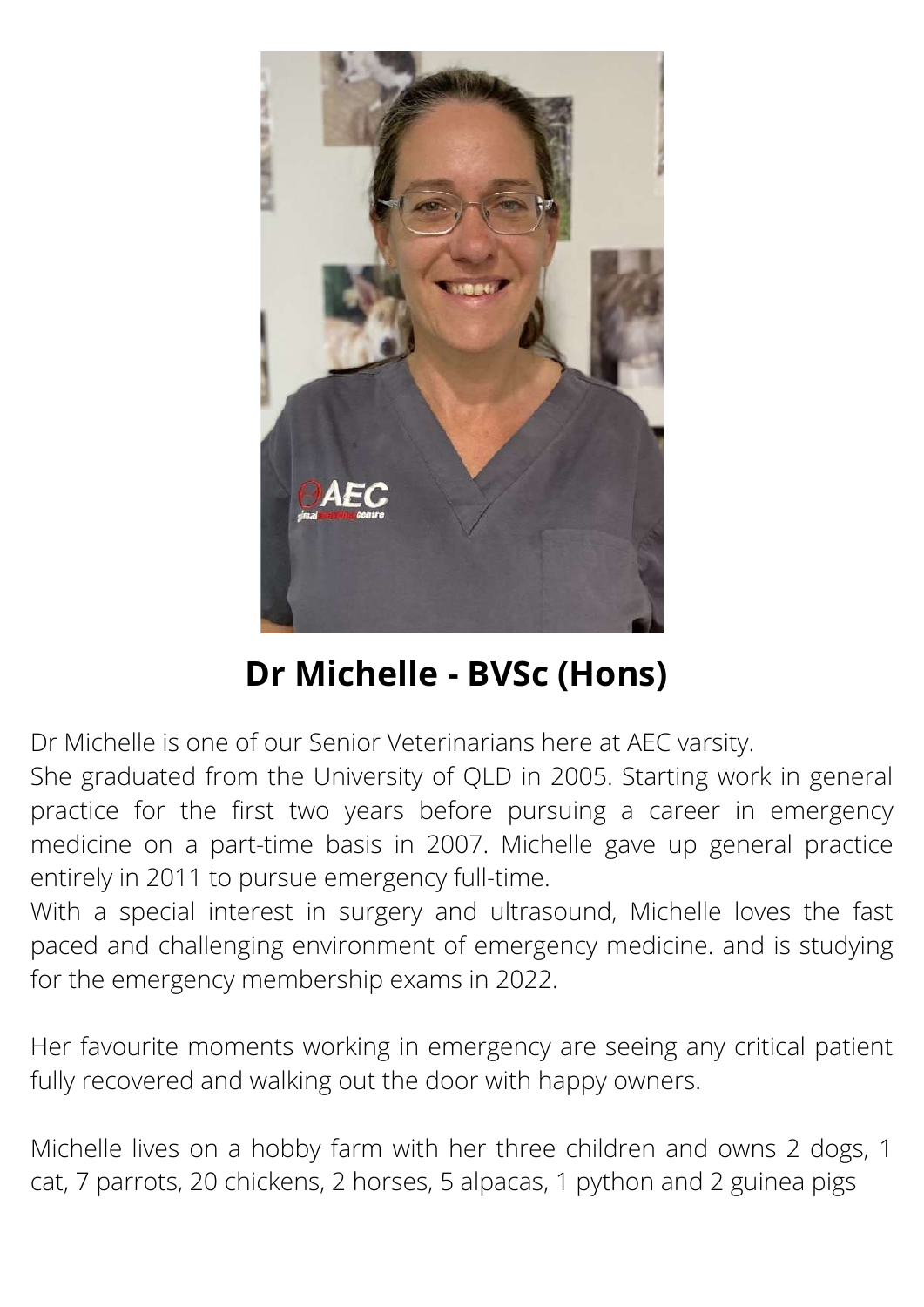

# **Dr Michelle - BVSc (Hons)**

Dr Michelle is one of our Senior Veterinarians here at AEC varsity.

She graduated from the University of QLD in 2005. Starting work in general practice for the first two years before pursuing a career in emergency medicine on a part-time basis in 2007. Michelle gave up general practice entirely in 2011 to pursue emergency full-time.

With a special interest in surgery and ultrasound, Michelle loves the fast paced and challenging environment of emergency medicine. and is studying for the emergency membership exams in 2022.

Her favourite moments working in emergency are seeing any critical patient fully recovered and walking out the door with happy owners.

Michelle lives on a hobby farm with her three children and owns 2 dogs, 1 cat, 7 parrots, 20 chickens, 2 horses, 5 alpacas, 1 python and 2 guinea pigs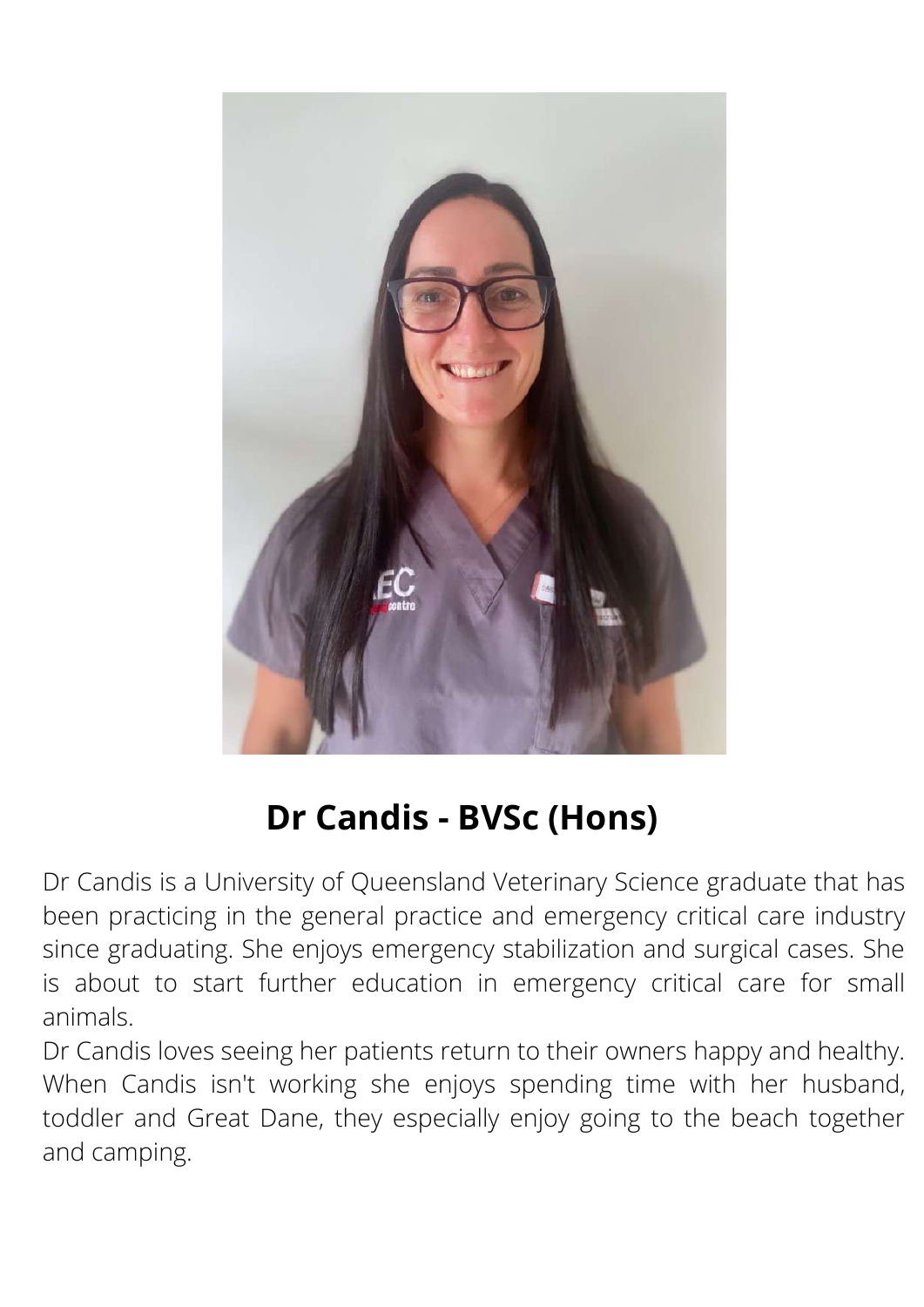

# **Dr Candis - BVSc (Hons)**

Dr Candis is a University of Queensland Veterinary Science graduate that has been practicing in the general practice and emergency critical care industry since graduating. She enjoys emergency stabilization and surgical cases. She is about to start further education in emergency critical care for small animals.

Dr Candis loves seeing her patients return to their owners happy and healthy. When Candis isn't working she enjoys spending time with her husband, toddler and Great Dane, they especially enjoy going to the beach together and camping.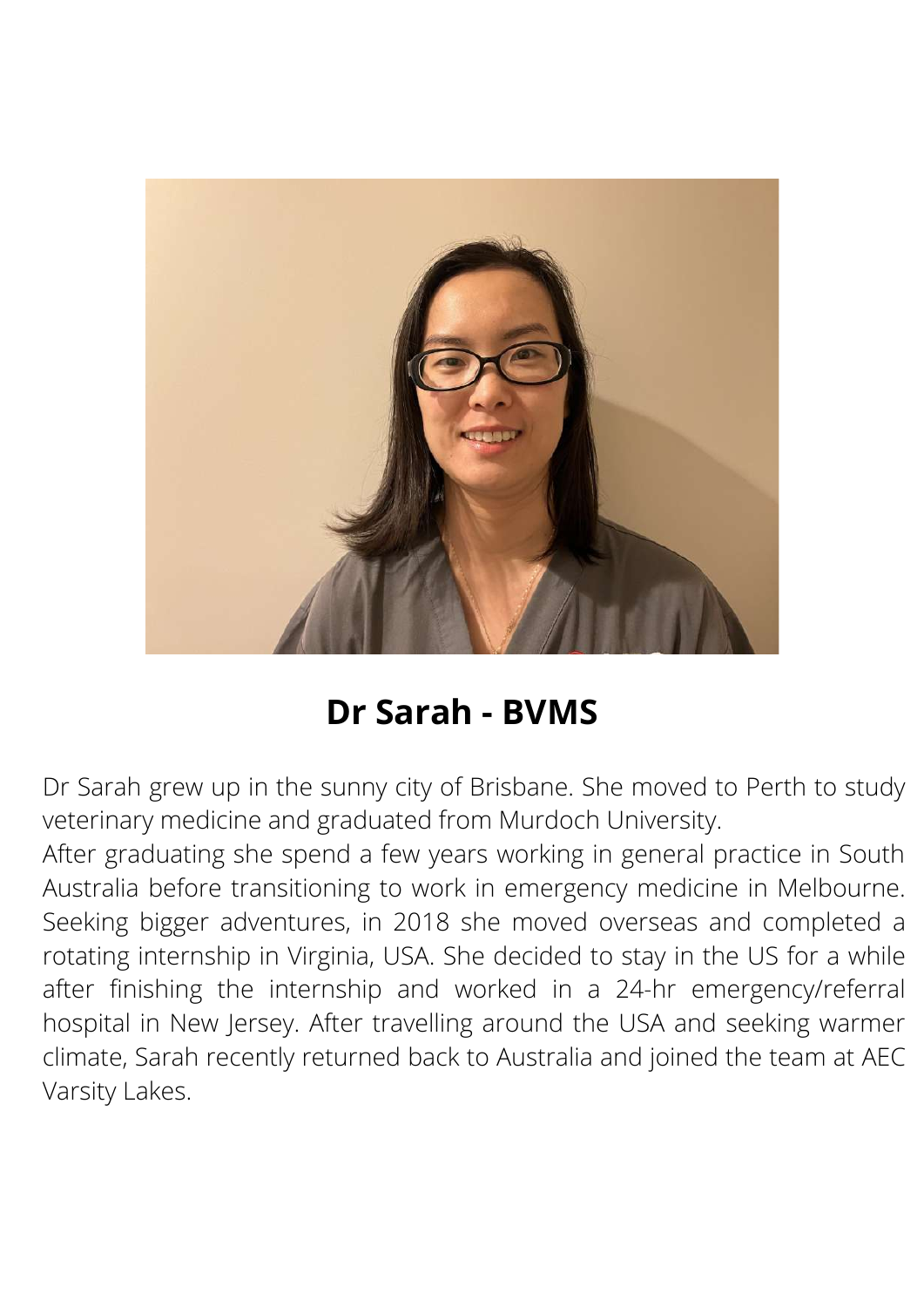

### **Dr Sarah - BVMS**

Dr Sarah grew up in the sunny city of Brisbane. She moved to Perth to study veterinary medicine and graduated from Murdoch University.

After graduating she spend a few years working in general practice in South Australia before transitioning to work in emergency medicine in Melbourne. Seeking bigger adventures, in 2018 she moved overseas and completed a rotating internship in Virginia, USA. She decided to stay in the US for a while after finishing the internship and worked in a 24-hr emergency/referral hospital in New Jersey. After travelling around the USA and seeking warmer climate, Sarah recently returned back to Australia and joined the team at AEC Varsity Lakes.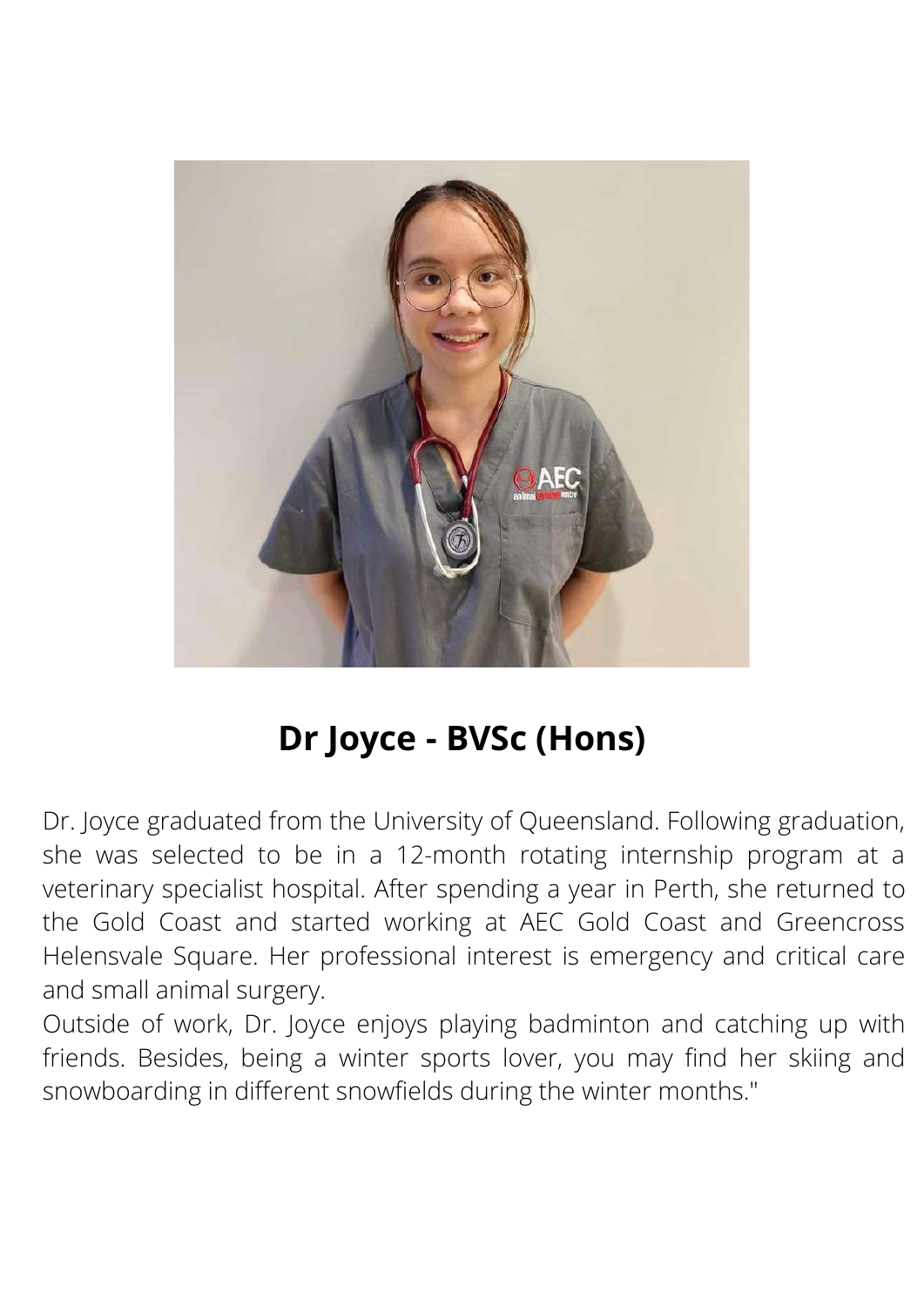

### **Dr Joyce - BVSc (Hons)**

Dr. Joyce graduated from the University of Queensland. Following graduation, she was selected to be in a 12-month rotating internship program at a veterinary specialist hospital. After spending a year in Perth, she returned to the Gold Coast and started working at AEC Gold Coast and Greencross Helensvale Square. Her professional interest is emergency and critical care and small animal surgery.

Outside of work, Dr. Joyce enjoys playing badminton and catching up with friends. Besides, being a winter sports lover, you may find her skiing and snowboarding in different snowfields during the winter months."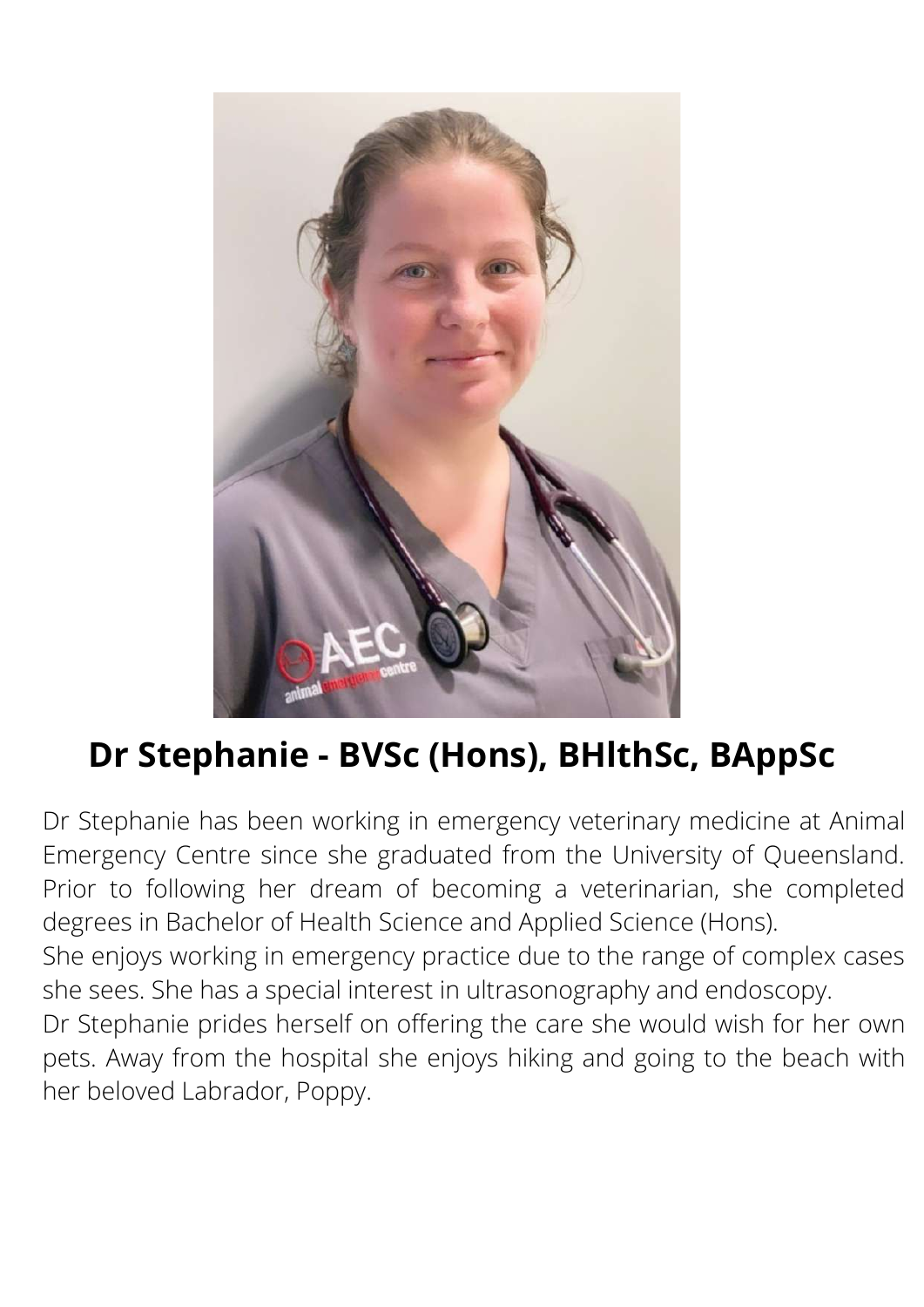

# **Dr Stephanie - BVSc (Hons), BHlthSc, BAppSc**

Dr Stephanie has been working in emergency veterinary medicine at Animal Emergency Centre since she graduated from the University of Queensland. Prior to following her dream of becoming a veterinarian, she completed degrees in Bachelor of Health Science and Applied Science (Hons).

She enjoys working in emergency practice due to the range of complex cases she sees. She has a special interest in ultrasonography and endoscopy.

Dr Stephanie prides herself on offering the care she would wish for her own pets. Away from the hospital she enjoys hiking and going to the beach with her beloved Labrador, Poppy.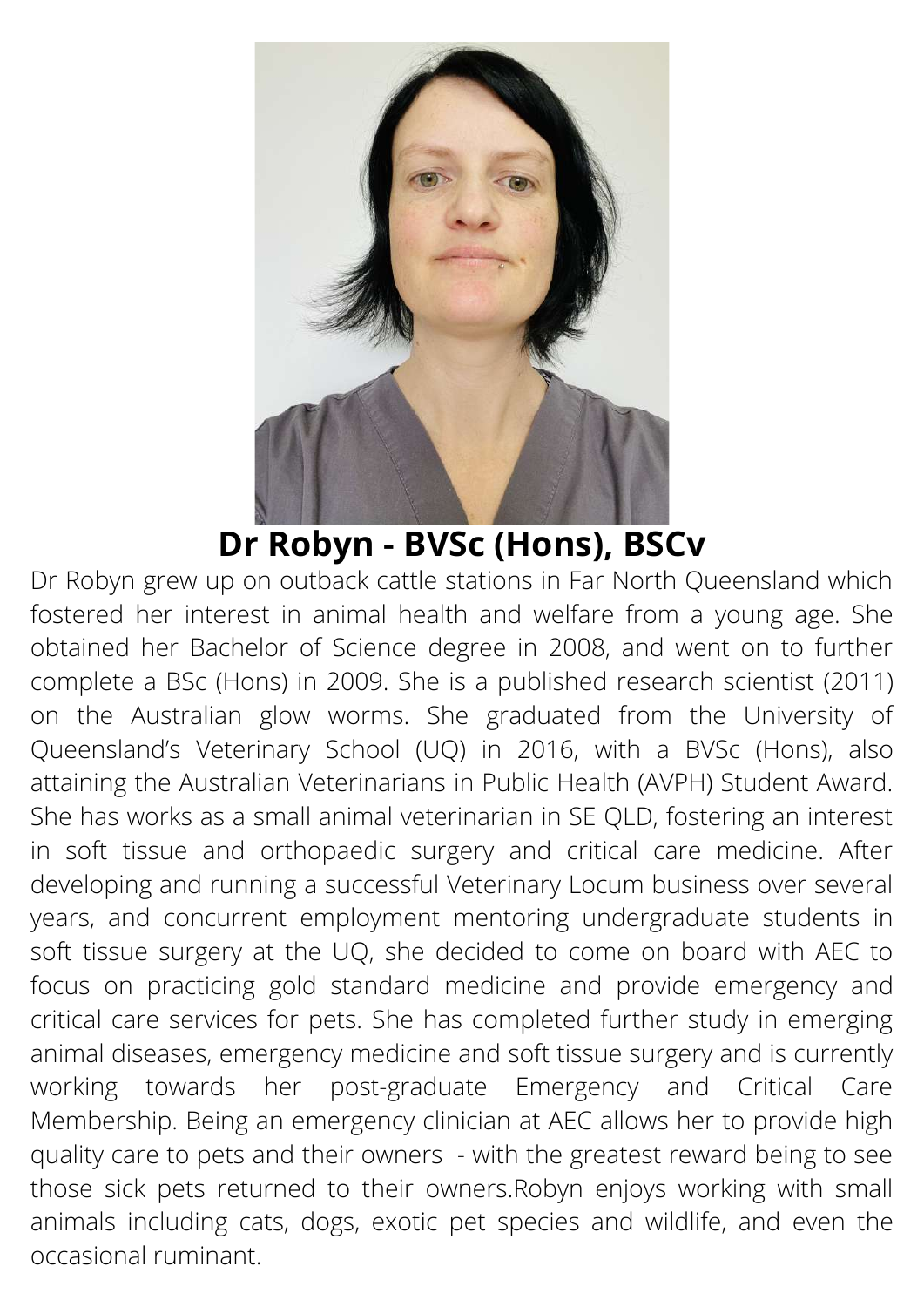

**Dr Robyn - BVSc (Hons), BSCv**

Dr Robyn grew up on outback cattle stations in Far North Queensland which fostered her interest in animal health and welfare from a young age. She obtained her Bachelor of Science degree in 2008, and went on to further complete a BSc (Hons) in 2009. She is a published research scientist (2011) on the Australian glow worms. She graduated from the University of Queensland's Veterinary School (UQ) in 2016, with a BVSc (Hons), also attaining the Australian Veterinarians in Public Health (AVPH) Student Award. She has works as a small animal veterinarian in SE QLD, fostering an interest in soft tissue and orthopaedic surgery and critical care medicine. After developing and running a successful Veterinary Locum business over several years, and concurrent employment mentoring undergraduate students in soft tissue surgery at the UQ, she decided to come on board with AEC to focus on practicing gold standard medicine and provide emergency and critical care services for pets. She has completed further study in emerging animal diseases, emergency medicine and soft tissue surgery and is currently working towards her post-graduate Emergency and Critical Care Membership. Being an emergency clinician at AEC allows her to provide high quality care to pets and their owners - with the greatest reward being to see those sick pets returned to their owners.Robyn enjoys working with small animals including cats, dogs, exotic pet species and wildlife, and even the occasional ruminant.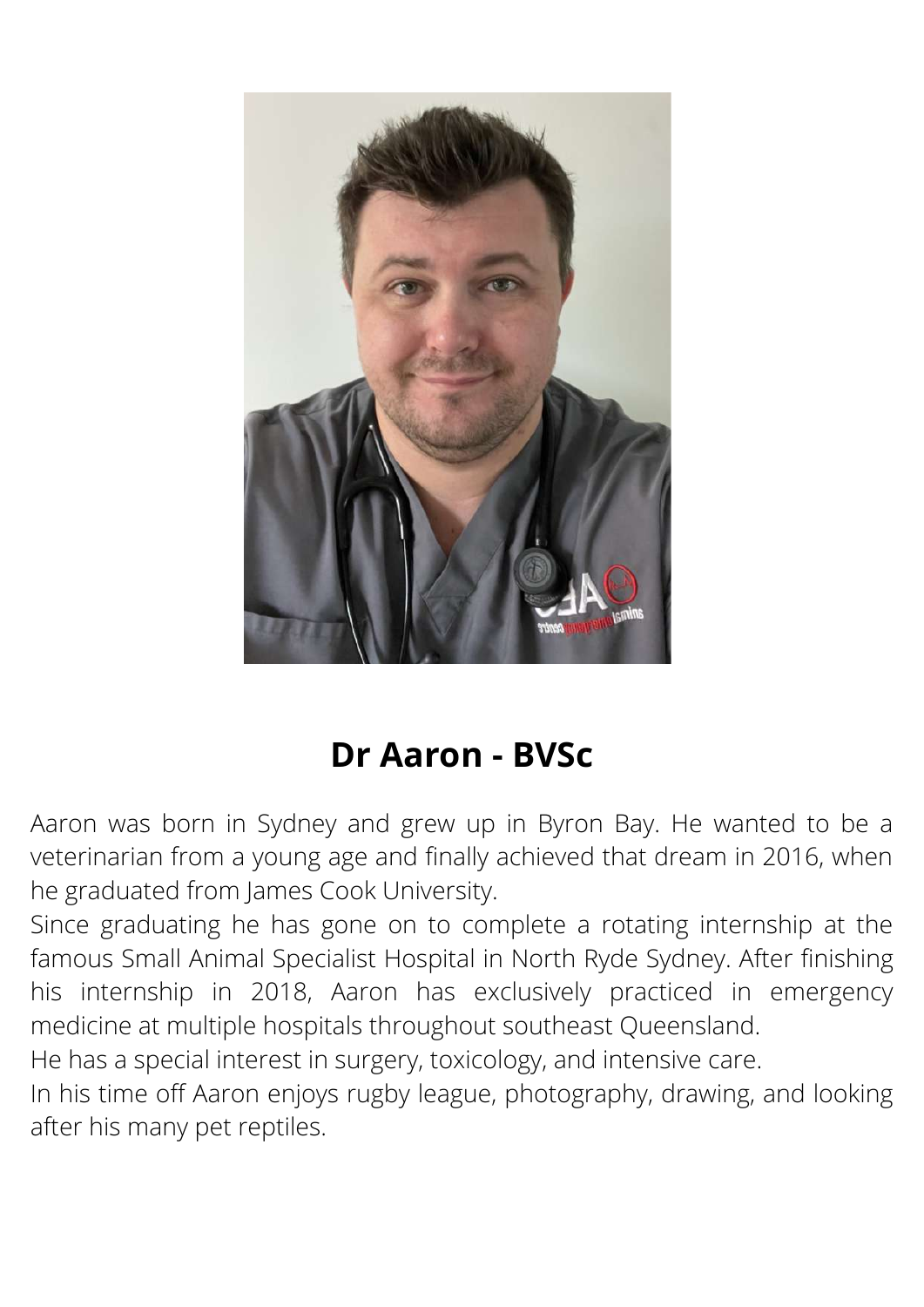

### **Dr Aaron - BVSc**

Aaron was born in Sydney and grew up in Byron Bay. He wanted to be a veterinarian from a young age and finally achieved that dream in 2016, when he graduated from James Cook University.

Since graduating he has gone on to complete a rotating internship at the famous Small Animal Specialist Hospital in North Ryde Sydney. After finishing his internship in 2018, Aaron has exclusively practiced in emergency medicine at multiple hospitals throughout southeast Queensland.

He has a special interest in surgery, toxicology, and intensive care.

In his time off Aaron enjoys rugby league, photography, drawing, and looking after his many pet reptiles.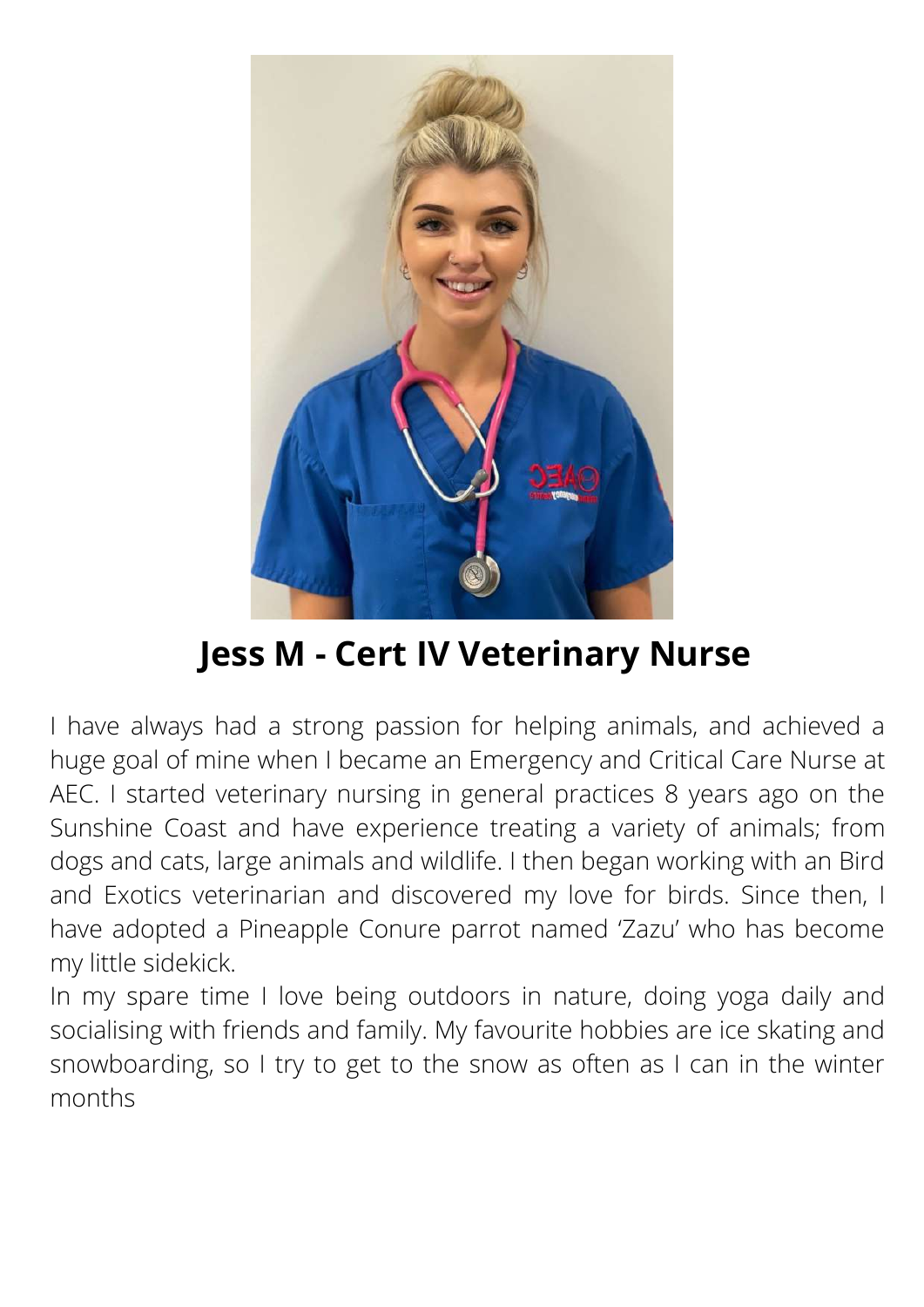

**Jess M - Cert IV Veterinary Nurse**

I have always had a strong passion for helping animals, and achieved a huge goal of mine when I became an Emergency and Critical Care Nurse at AEC. I started veterinary nursing in general practices 8 years ago on the Sunshine Coast and have experience treating a variety of animals; from dogs and cats, large animals and wildlife. I then began working with an Bird and Exotics veterinarian and discovered my love for birds. Since then, I have adopted a Pineapple Conure parrot named 'Zazu' who has become my little sidekick.

In my spare time I love being outdoors in nature, doing yoga daily and socialising with friends and family. My favourite hobbies are ice skating and snowboarding, so I try to get to the snow as often as I can in the winter months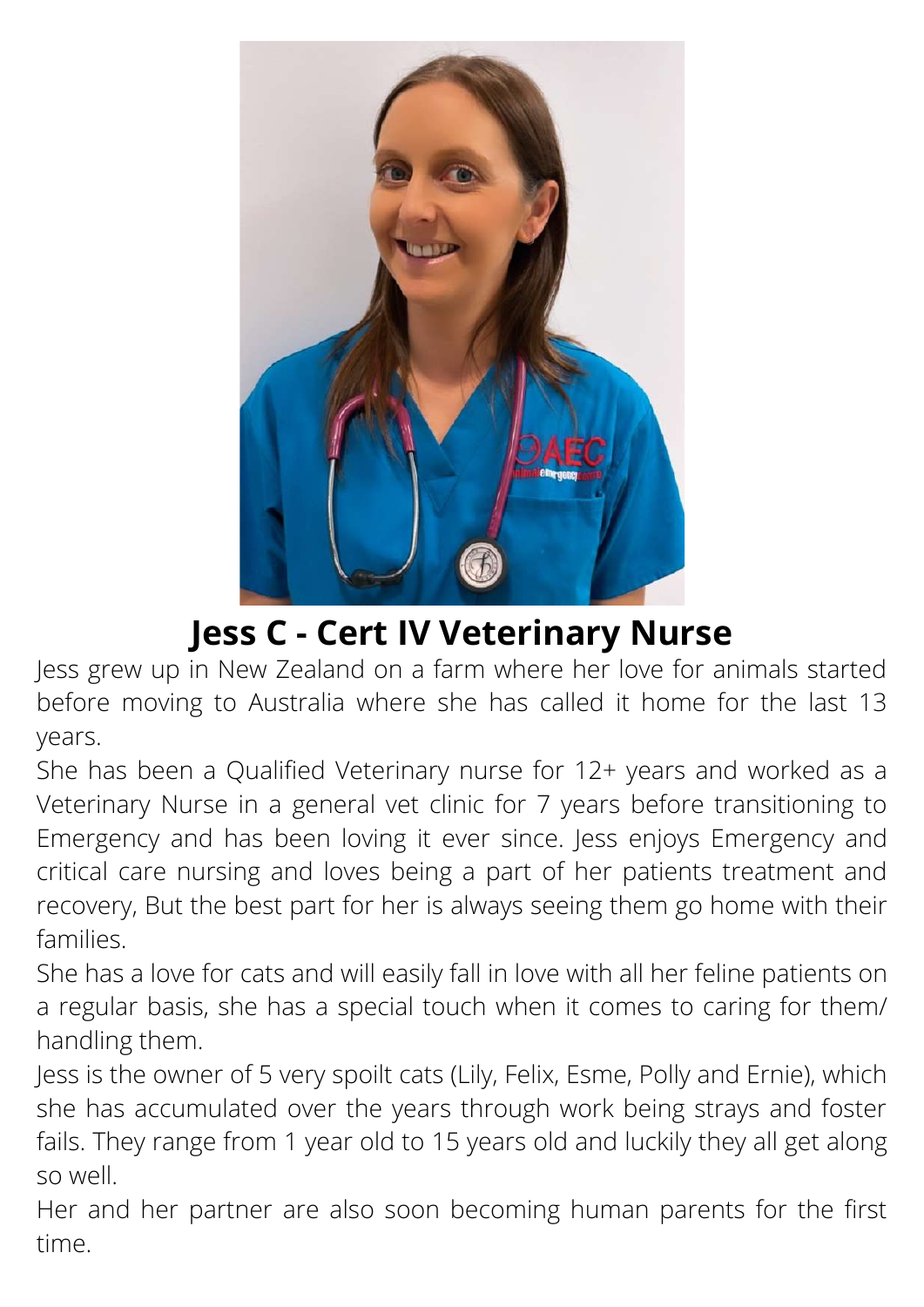

### **Jess C - Cert IV Veterinary Nurse**

Jess grew up in New Zealand on a farm where her love for animals started before moving to Australia where she has called it home for the last 13 years.

She has been a Qualified Veterinary nurse for 12+ years and worked as a Veterinary Nurse in a general vet clinic for 7 years before transitioning to Emergency and has been loving it ever since. Jess enjoys Emergency and critical care nursing and loves being a part of her patients treatment and recovery, But the best part for her is always seeing them go home with their families.

She has a love for cats and will easily fall in love with all her feline patients on a regular basis, she has a special touch when it comes to caring for them/ handling them.

Jess is the owner of 5 very spoilt cats (Lily, Felix, Esme, Polly and Ernie), which she has accumulated over the years through work being strays and foster fails. They range from 1 year old to 15 years old and luckily they all get along so well.

Her and her partner are also soon becoming human parents for the first time.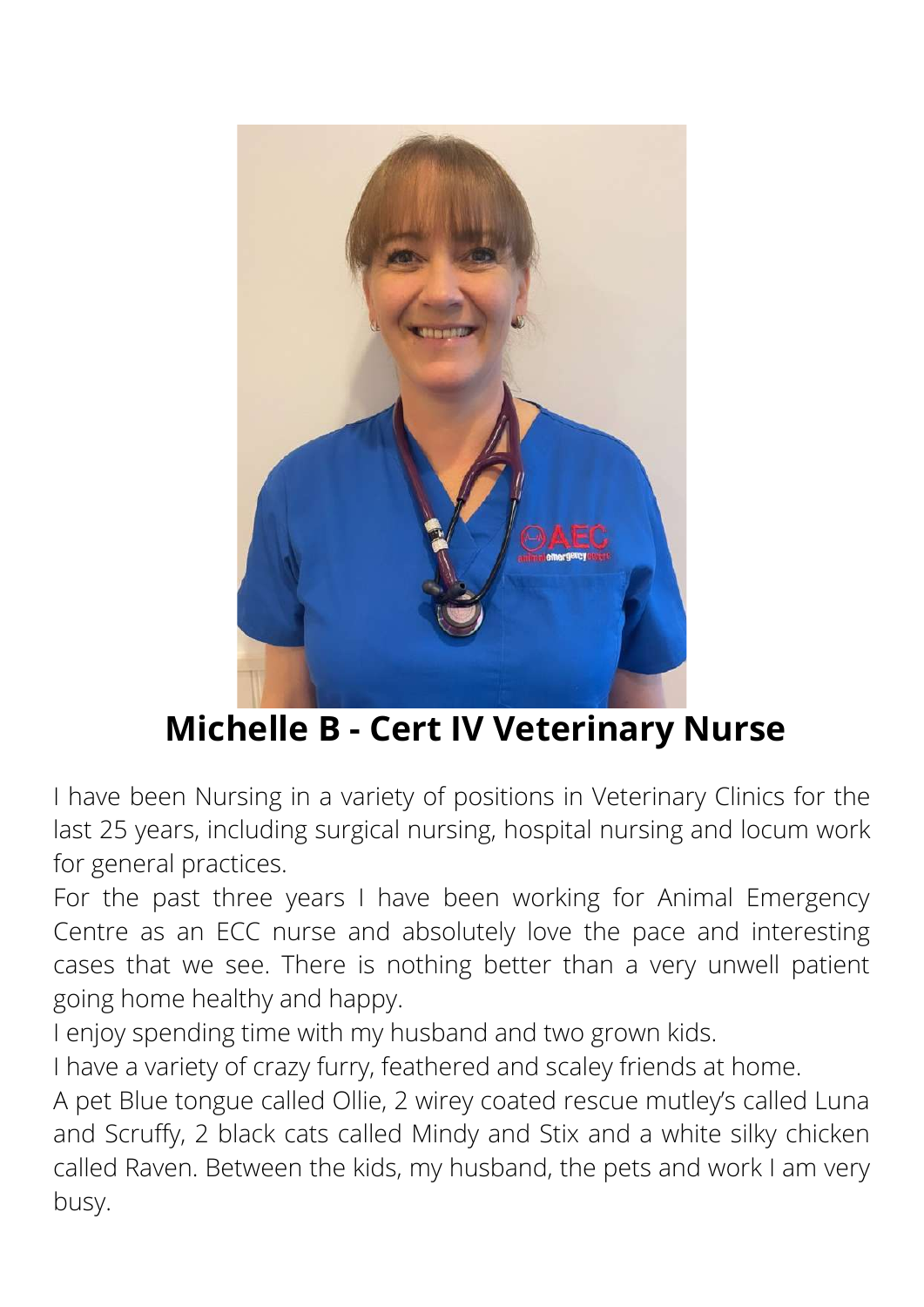

# **Michelle B - Cert IV Veterinary Nurse**

I have been Nursing in a variety of positions in Veterinary Clinics for the last 25 years, including surgical nursing, hospital nursing and locum work for general practices.

For the past three years I have been working for Animal Emergency Centre as an ECC nurse and absolutely love the pace and interesting cases that we see. There is nothing better than a very unwell patient going home healthy and happy.

I enjoy spending time with my husband and two grown kids.

I have a variety of crazy furry, feathered and scaley friends at home.

A pet Blue tongue called Ollie, 2 wirey coated rescue mutley's called Luna and Scruffy, 2 black cats called Mindy and Stix and a white silky chicken called Raven. Between the kids, my husband, the pets and work I am very busy.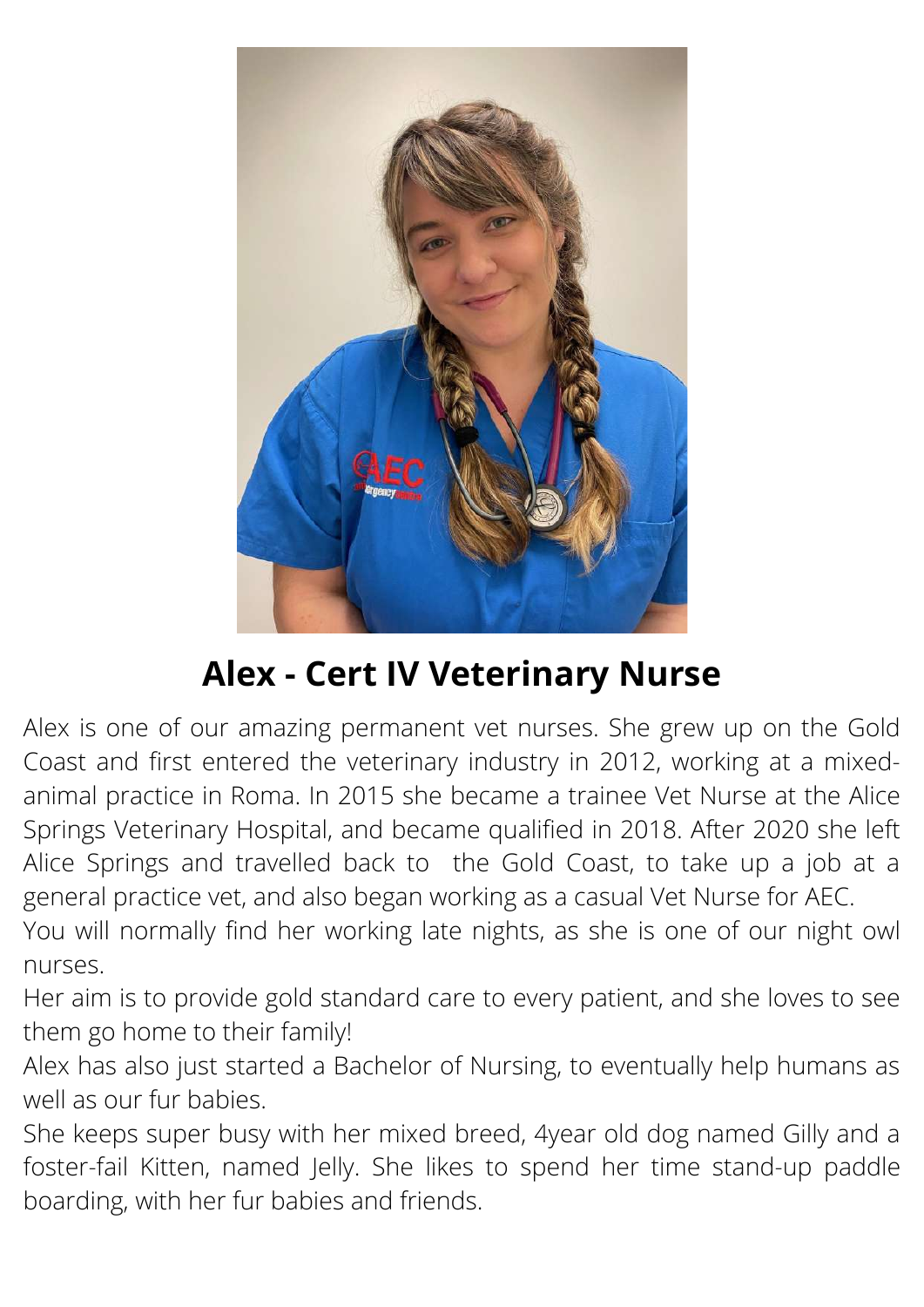

# **Alex - Cert IV Veterinary Nurse**

Alex is one of our amazing permanent vet nurses. She grew up on the Gold Coast and first entered the veterinary industry in 2012, working at a mixedanimal practice in Roma. In 2015 she became a trainee Vet Nurse at the Alice Springs Veterinary Hospital, and became qualified in 2018. After 2020 she left Alice Springs and travelled back to the Gold Coast, to take up a job at a general practice vet, and also began working as a casual Vet Nurse for AEC.

You will normally find her working late nights, as she is one of our night owl nurses.

Her aim is to provide gold standard care to every patient, and she loves to see them go home to their family!

Alex has also just started a Bachelor of Nursing, to eventually help humans as well as our fur babies.

She keeps super busy with her mixed breed, 4year old dog named Gilly and a foster-fail Kitten, named Jelly. She likes to spend her time stand-up paddle boarding, with her fur babies and friends.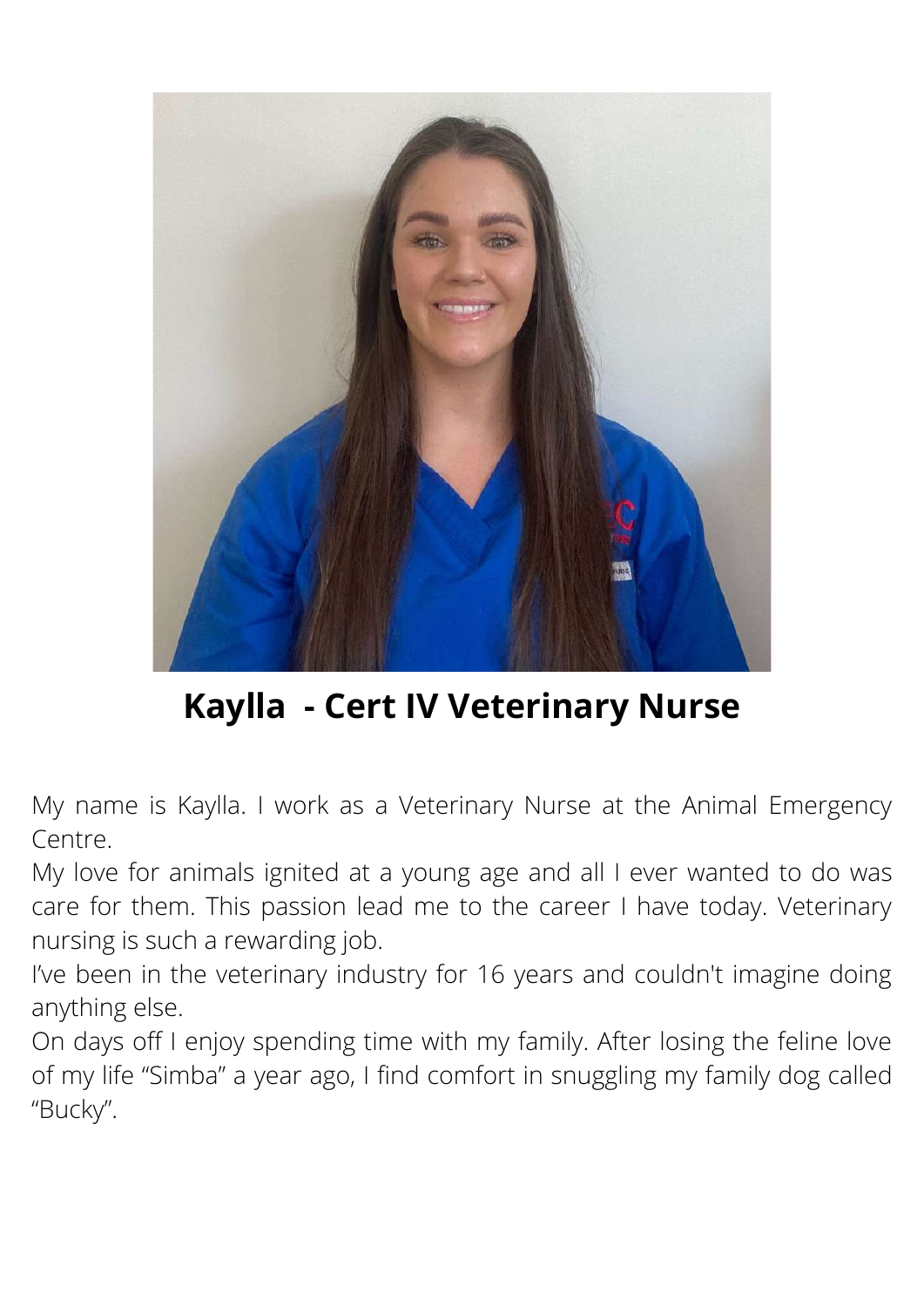

**Kaylla - Cert IV Veterinary Nurse**

My name is Kaylla. I work as a Veterinary Nurse at the Animal Emergency Centre.

My love for animals ignited at a young age and all I ever wanted to do was care for them. This passion lead me to the career I have today. Veterinary nursing is such a rewarding job.

I've been in the veterinary industry for 16 years and couldn't imagine doing anything else.

On days off I enjoy spending time with my family. After losing the feline love of my life "Simba" a year ago, I find comfort in snuggling my family dog called "Bucky".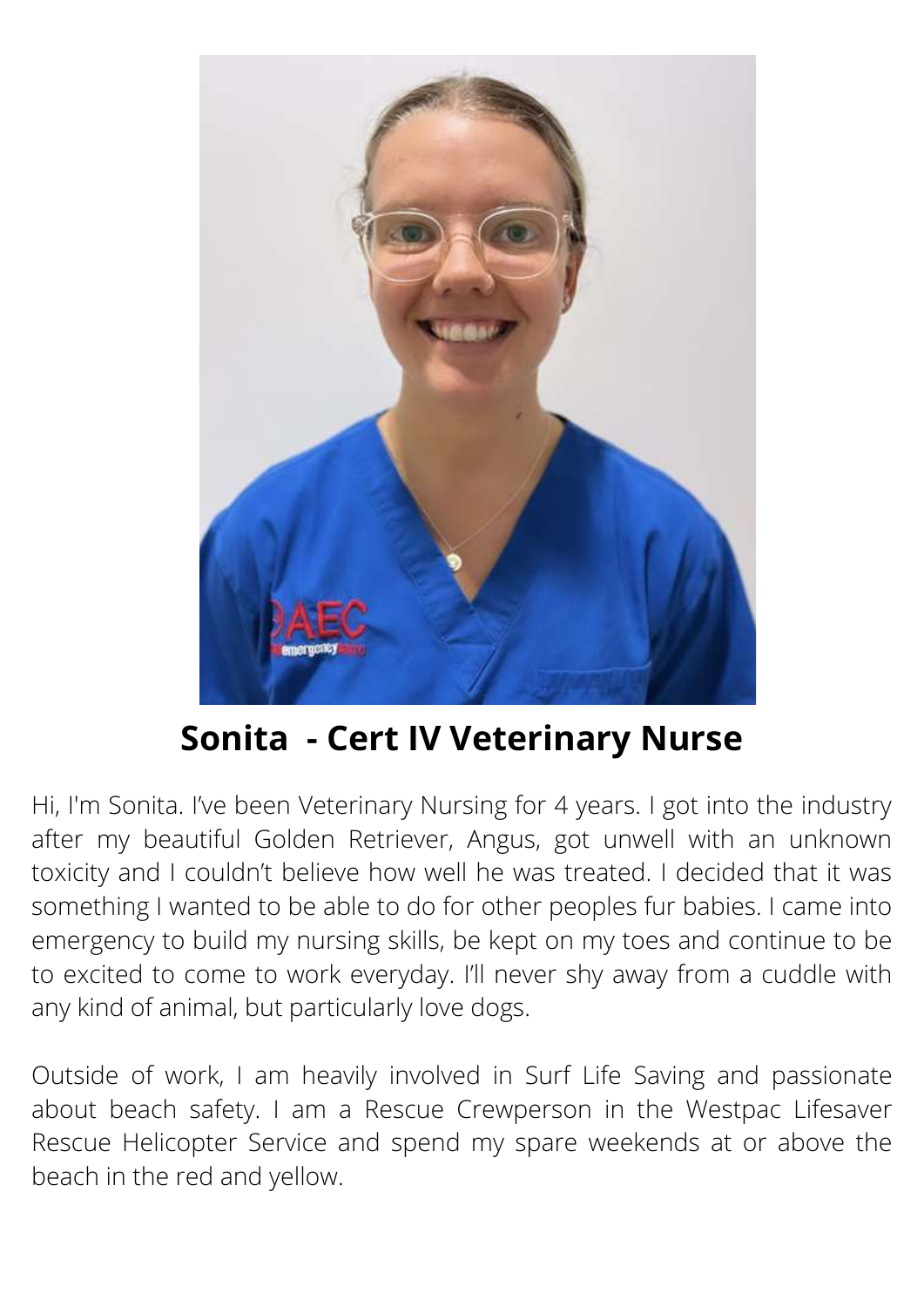

# **Sonita - Cert IV Veterinary Nurse**

Hi, I'm Sonita. I've been Veterinary Nursing for 4 years. I got into the industry after my beautiful Golden Retriever, Angus, got unwell with an unknown toxicity and I couldn't believe how well he was treated. I decided that it was something I wanted to be able to do for other peoples fur babies. I came into emergency to build my nursing skills, be kept on my toes and continue to be to excited to come to work everyday. I'll never shy away from a cuddle with any kind of animal, but particularly love dogs.

Outside of work, I am heavily involved in Surf Life Saving and passionate about beach safety. I am a Rescue Crewperson in the Westpac Lifesaver Rescue Helicopter Service and spend my spare weekends at or above the beach in the red and yellow.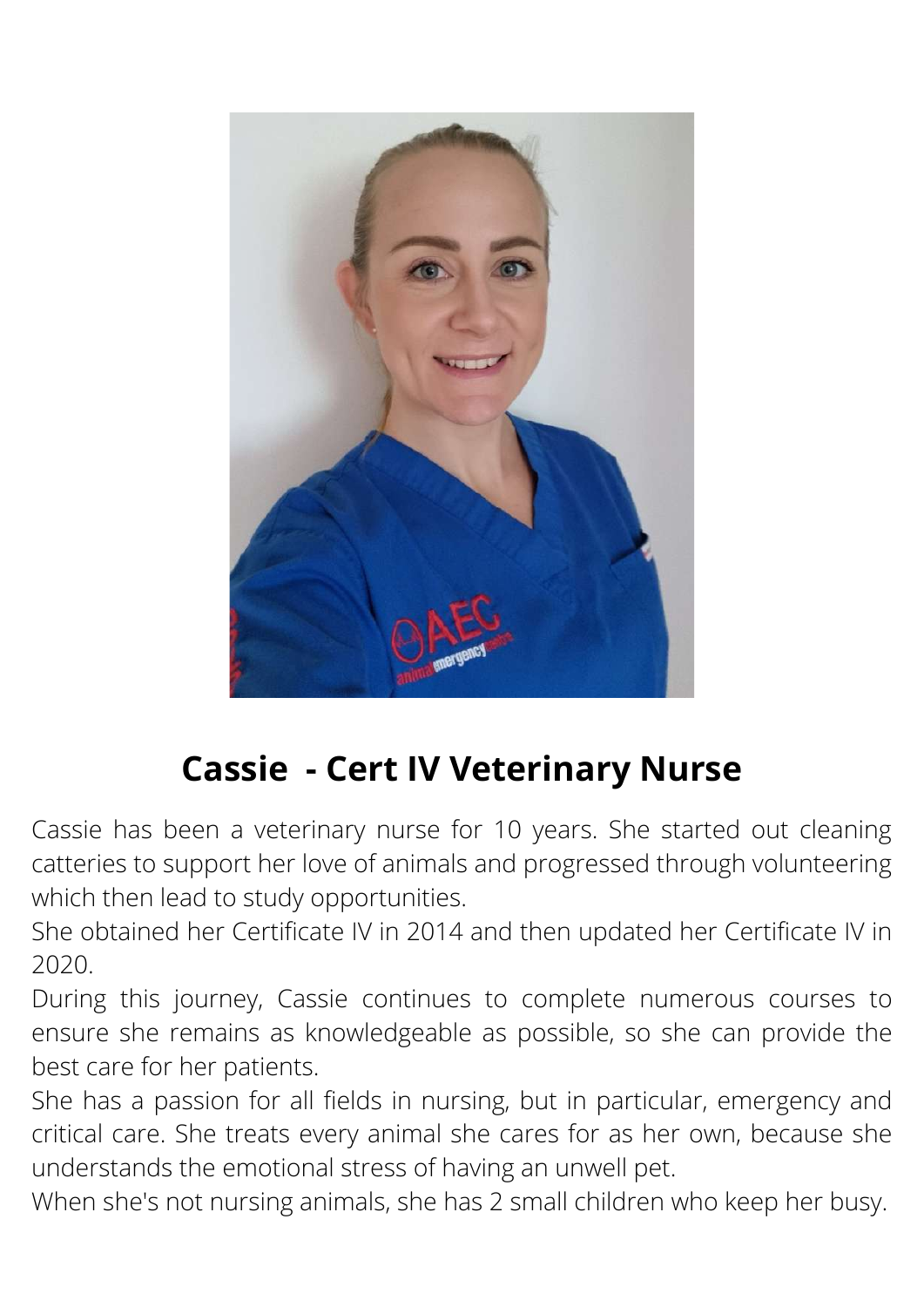

# **Cassie - Cert IV Veterinary Nurse**

Cassie has been a veterinary nurse for 10 years. She started out cleaning catteries to support her love of animals and progressed through volunteering which then lead to study opportunities.

She obtained her Certificate IV in 2014 and then updated her Certificate IV in 2020.

During this journey, Cassie continues to complete numerous courses to ensure she remains as knowledgeable as possible, so she can provide the best care for her patients.

She has a passion for all fields in nursing, but in particular, emergency and critical care. She treats every animal she cares for as her own, because she understands the emotional stress of having an unwell pet.

When she's not nursing animals, she has 2 small children who keep her busy.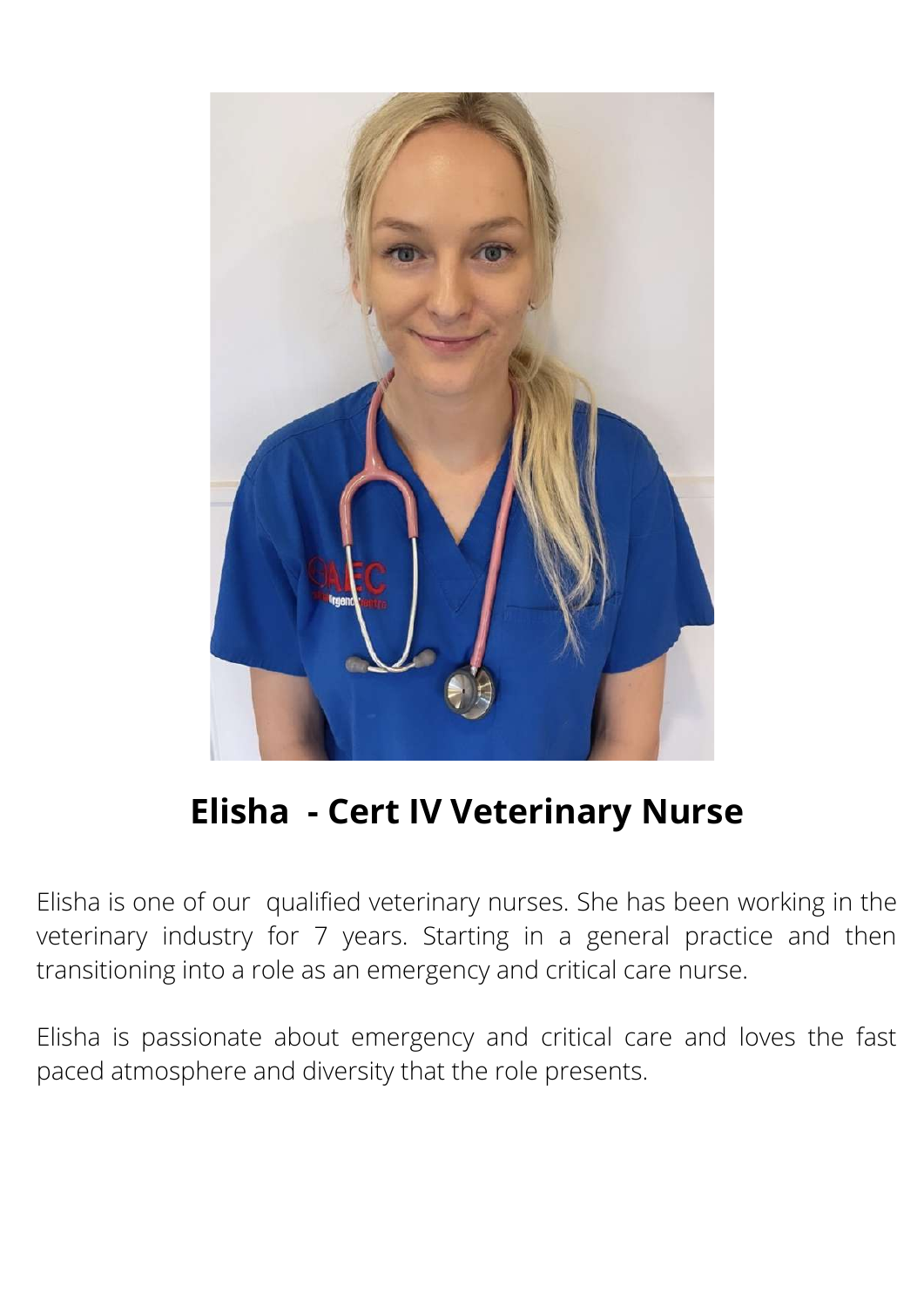

# **Elisha - Cert IV Veterinary Nurse**

Elisha is one of our qualified veterinary nurses. She has been working in the veterinary industry for 7 years. Starting in a general practice and then transitioning into a role as an emergency and critical care nurse.

Elisha is passionate about emergency and critical care and loves the fast paced atmosphere and diversity that the role presents.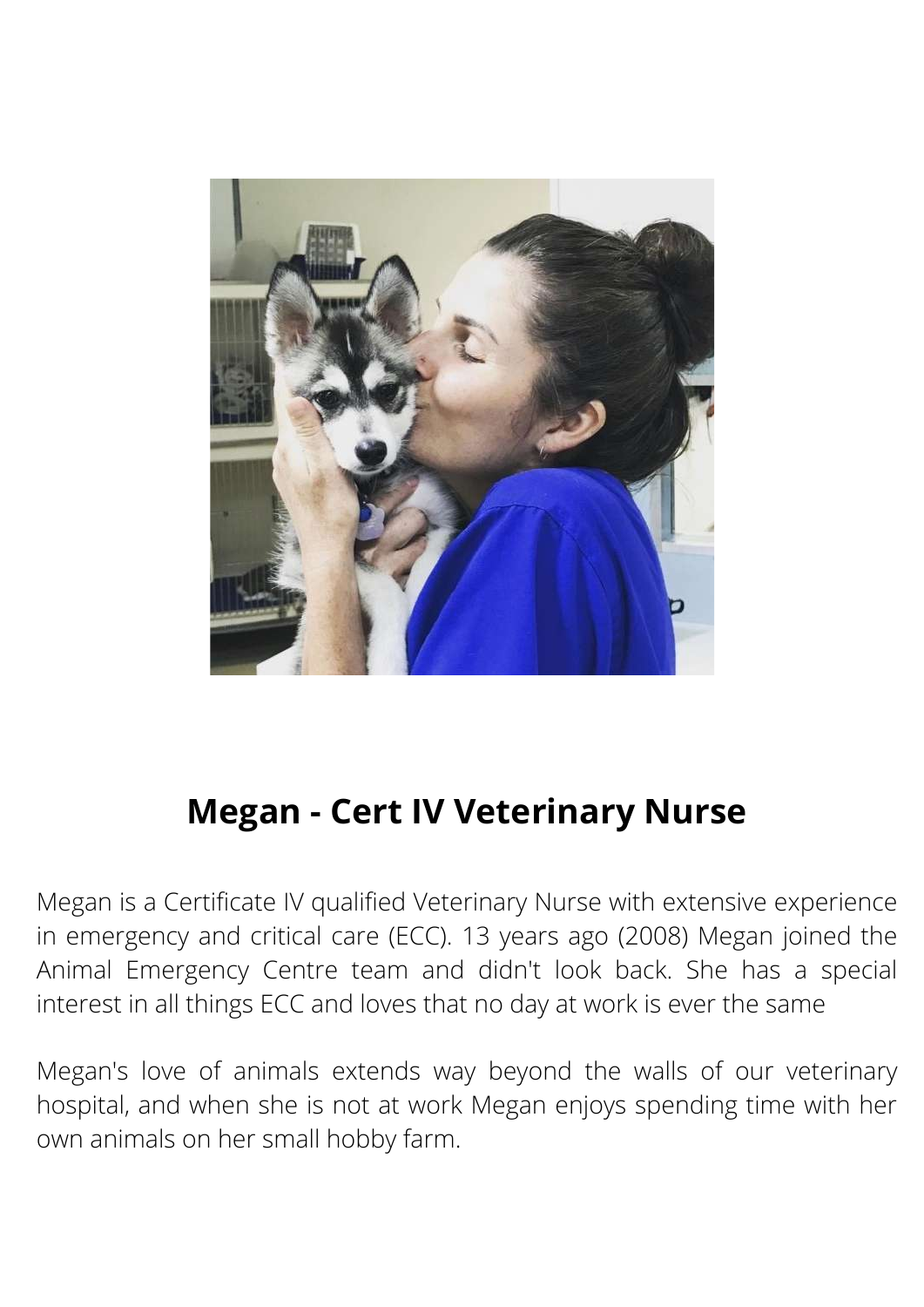

### **Megan - Cert IV Veterinary Nurse**

Megan is a Certificate IV qualified Veterinary Nurse with extensive experience in emergency and critical care (ECC). 13 years ago (2008) Megan joined the Animal Emergency Centre team and didn't look back. She has a special interest in all things ECC and loves that no day at work is ever the same

Megan's love of animals extends way beyond the walls of our veterinary hospital, and when she is not at work Megan enjoys spending time with her own animals on her small hobby farm.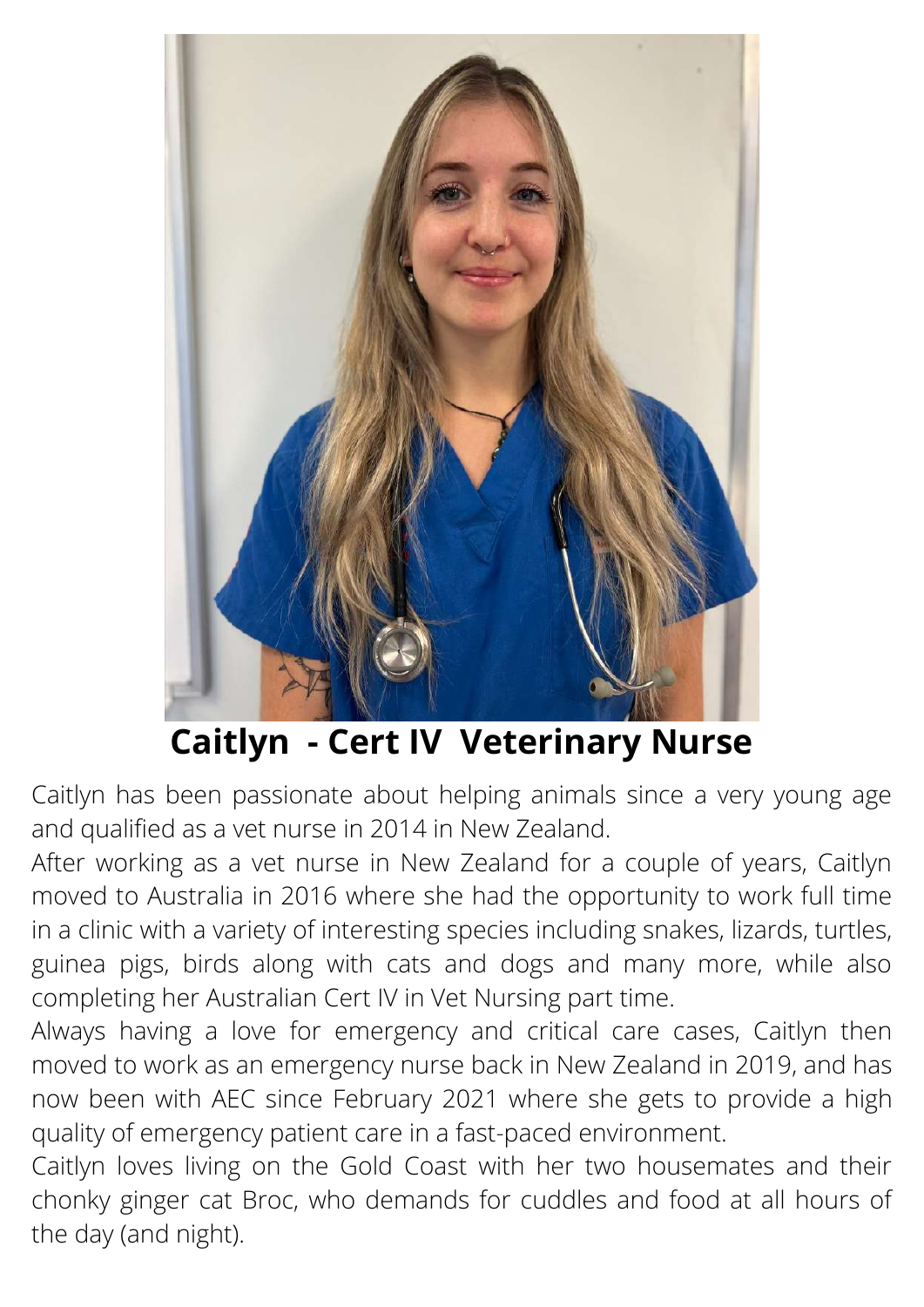

### **Caitlyn - Cert IV Veterinary Nurse**

Caitlyn has been passionate about helping animals since a very young age and qualified as a vet nurse in 2014 in New Zealand.

After working as a vet nurse in New Zealand for a couple of years, Caitlyn moved to Australia in 2016 where she had the opportunity to work full time in a clinic with a variety of interesting species including snakes, lizards, turtles, guinea pigs, birds along with cats and dogs and many more, while also completing her Australian Cert IV in Vet Nursing part time.

Always having a love for emergency and critical care cases, Caitlyn then moved to work as an emergency nurse back in New Zealand in 2019, and has now been with AEC since February 2021 where she gets to provide a high quality of emergency patient care in a fast-paced environment.

Caitlyn loves living on the Gold Coast with her two housemates and their chonky ginger cat Broc, who demands for cuddles and food at all hours of the day (and night).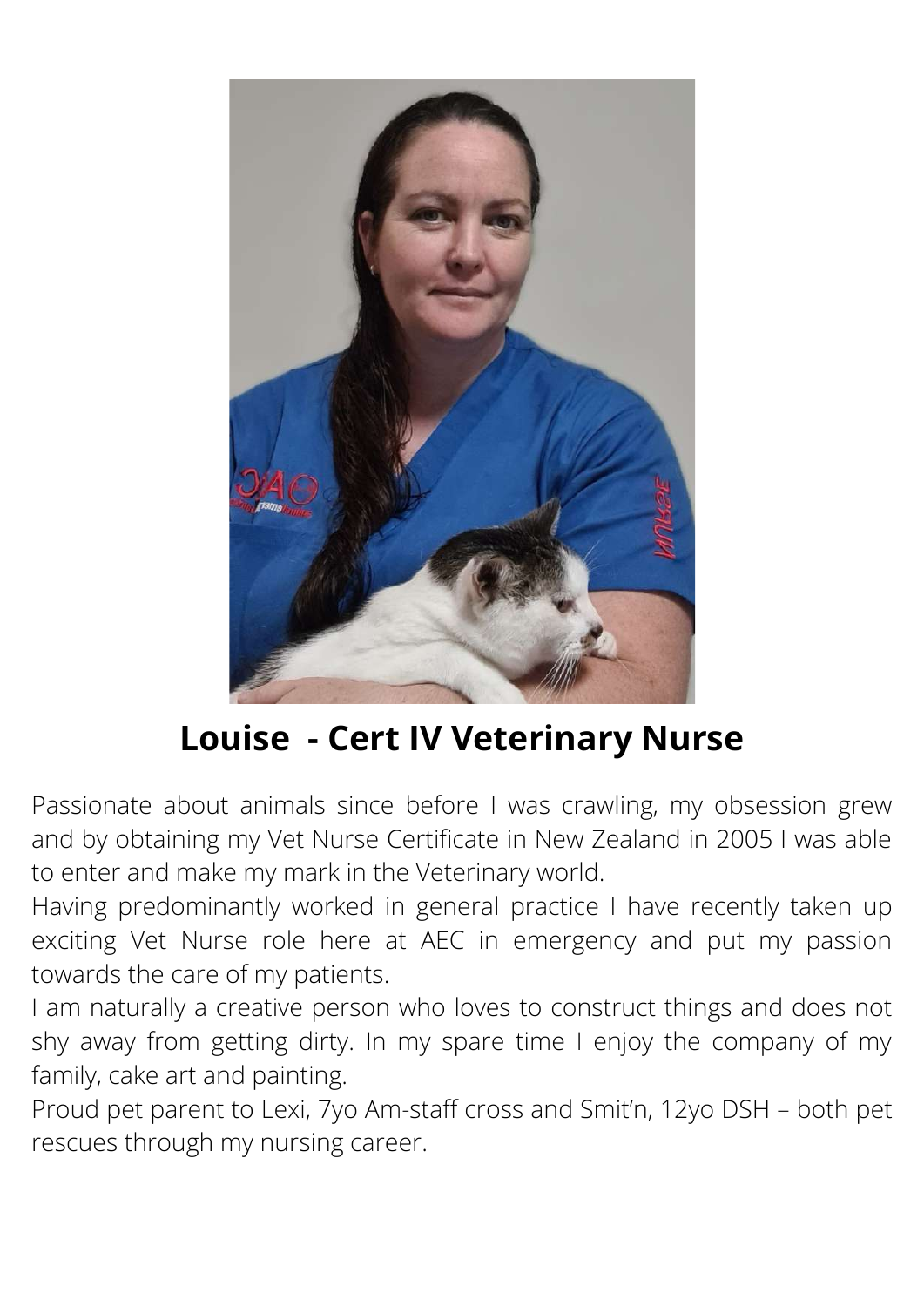

# **Louise - Cert IV Veterinary Nurse**

Passionate about animals since before I was crawling, my obsession grew and by obtaining my Vet Nurse Certificate in New Zealand in 2005 I was able to enter and make my mark in the Veterinary world.

Having predominantly worked in general practice I have recently taken up exciting Vet Nurse role here at AEC in emergency and put my passion towards the care of my patients.

I am naturally a creative person who loves to construct things and does not shy away from getting dirty. In my spare time I enjoy the company of my family, cake art and painting.

Proud pet parent to Lexi, 7yo Am-staff cross and Smit'n, 12yo DSH – both pet rescues through my nursing career.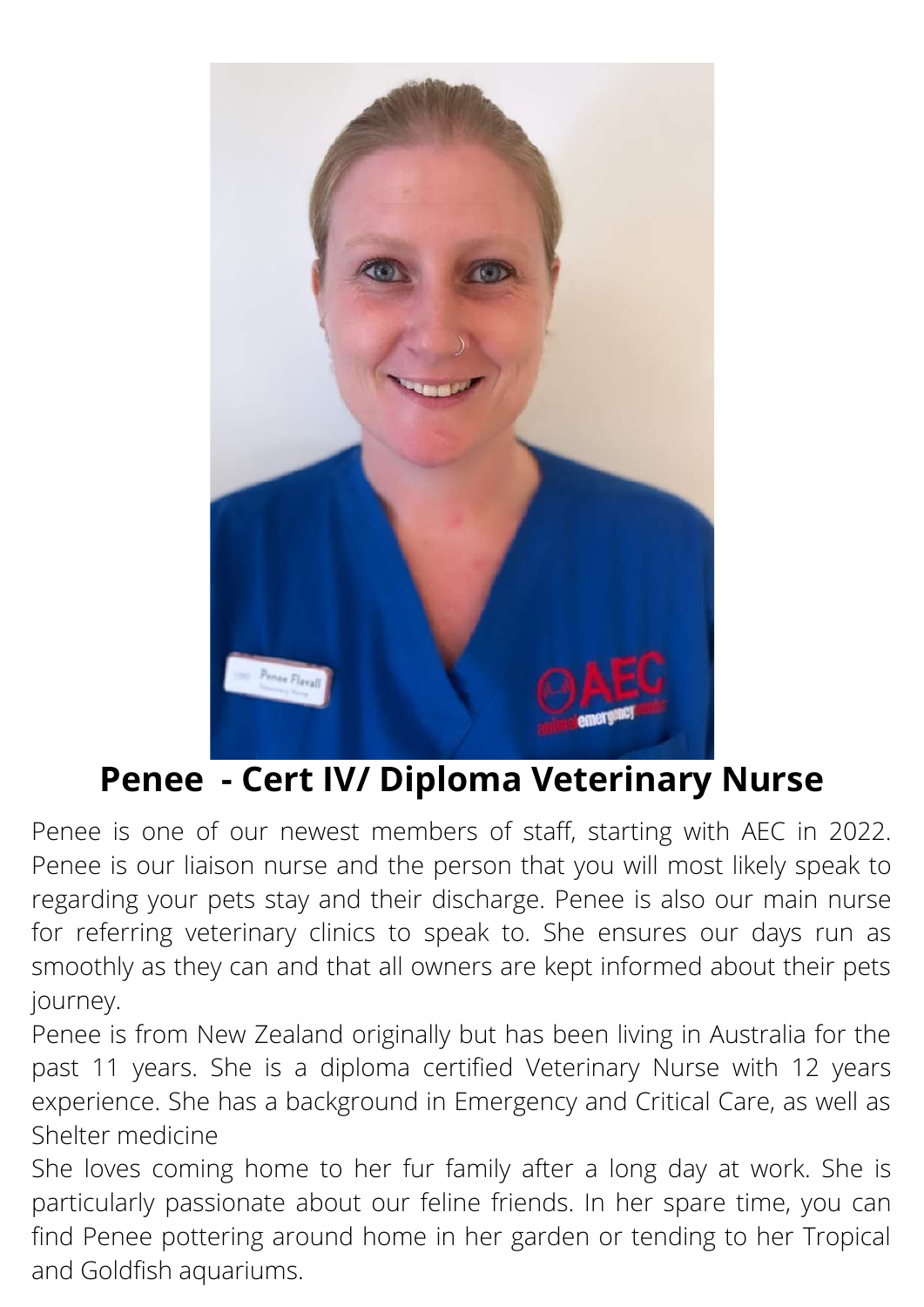

### **Penee - Cert IV/ Diploma Veterinary Nurse**

Penee is one of our newest members of staff, starting with AEC in 2022. Penee is our liaison nurse and the person that you will most likely speak to regarding your pets stay and their discharge. Penee is also our main nurse for referring veterinary clinics to speak to. She ensures our days run as smoothly as they can and that all owners are kept informed about their pets journey.

Penee is from New Zealand originally but has been living in Australia for the past 11 years. She is a diploma certified Veterinary Nurse with 12 years experience. She has a background in Emergency and Critical Care, as well as Shelter medicine

She loves coming home to her fur family after a long day at work. She is particularly passionate about our feline friends. In her spare time, you can find Penee pottering around home in her garden or tending to her Tropical and Goldfish aquariums.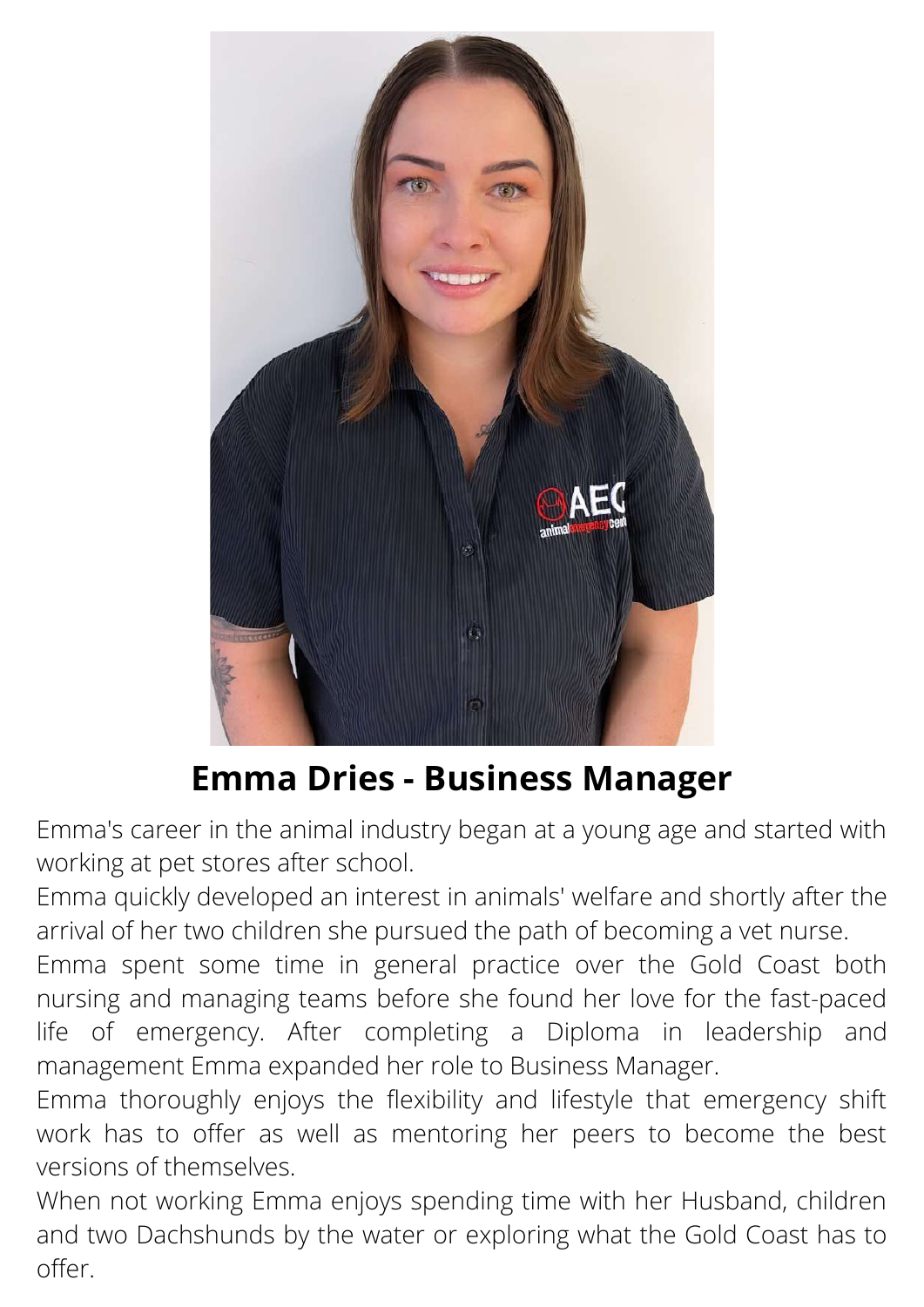

### **Emma Dries - Business Manager**

Emma's career in the animal industry began at a young age and started with working at pet stores after school.

Emma quickly developed an interest in animals' welfare and shortly after the arrival of her two children she pursued the path of becoming a vet nurse.

Emma spent some time in general practice over the Gold Coast both nursing and managing teams before she found her love for the fast-paced life of emergency. After completing a Diploma in leadership and management Emma expanded her role to Business Manager.

Emma thoroughly enjoys the flexibility and lifestyle that emergency shift work has to offer as well as mentoring her peers to become the best versions of themselves.

When not working Emma enjoys spending time with her Husband, children and two Dachshunds by the water or exploring what the Gold Coast has to offer.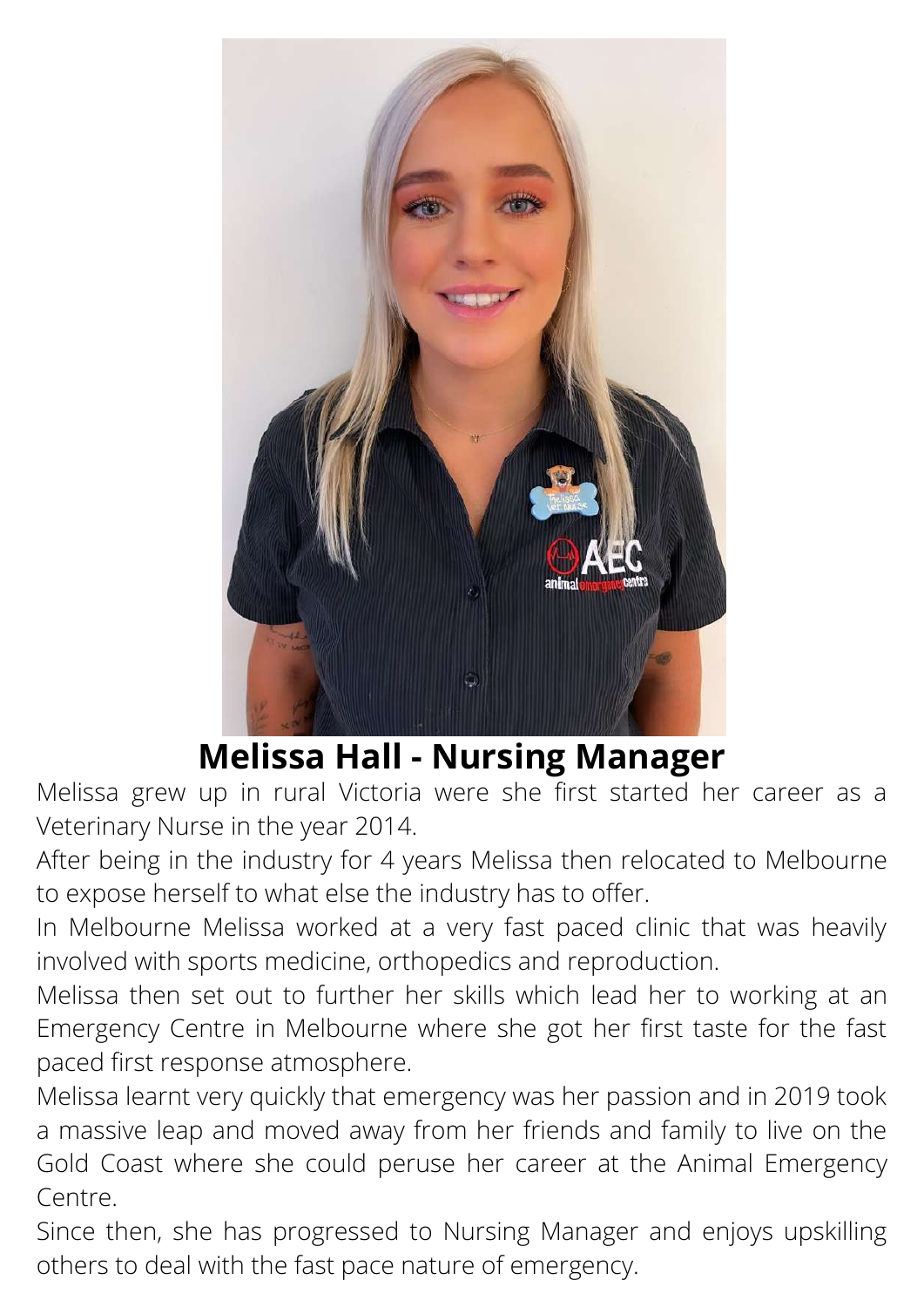

### **Melissa Hall - Nursing Manager**

Melissa grew up in rural Victoria were she first started her career as a Veterinary Nurse in the year 2014.

After being in the industry for 4 years Melissa then relocated to Melbourne to expose herself to what else the industry has to offer.

In Melbourne Melissa worked at a very fast paced clinic that was heavily involved with sports medicine, orthopedics and reproduction.

Melissa then set out to further her skills which lead her to working at an Emergency Centre in Melbourne where she got her first taste for the fast paced first response atmosphere.

Melissa learnt very quickly that emergency was her passion and in 2019 took a massive leap and moved away from her friends and family to live on the Gold Coast where she could peruse her career at the Animal Emergency Centre.

Since then, she has progressed to Nursing Manager and enjoys upskilling others to deal with the fast pace nature of emergency.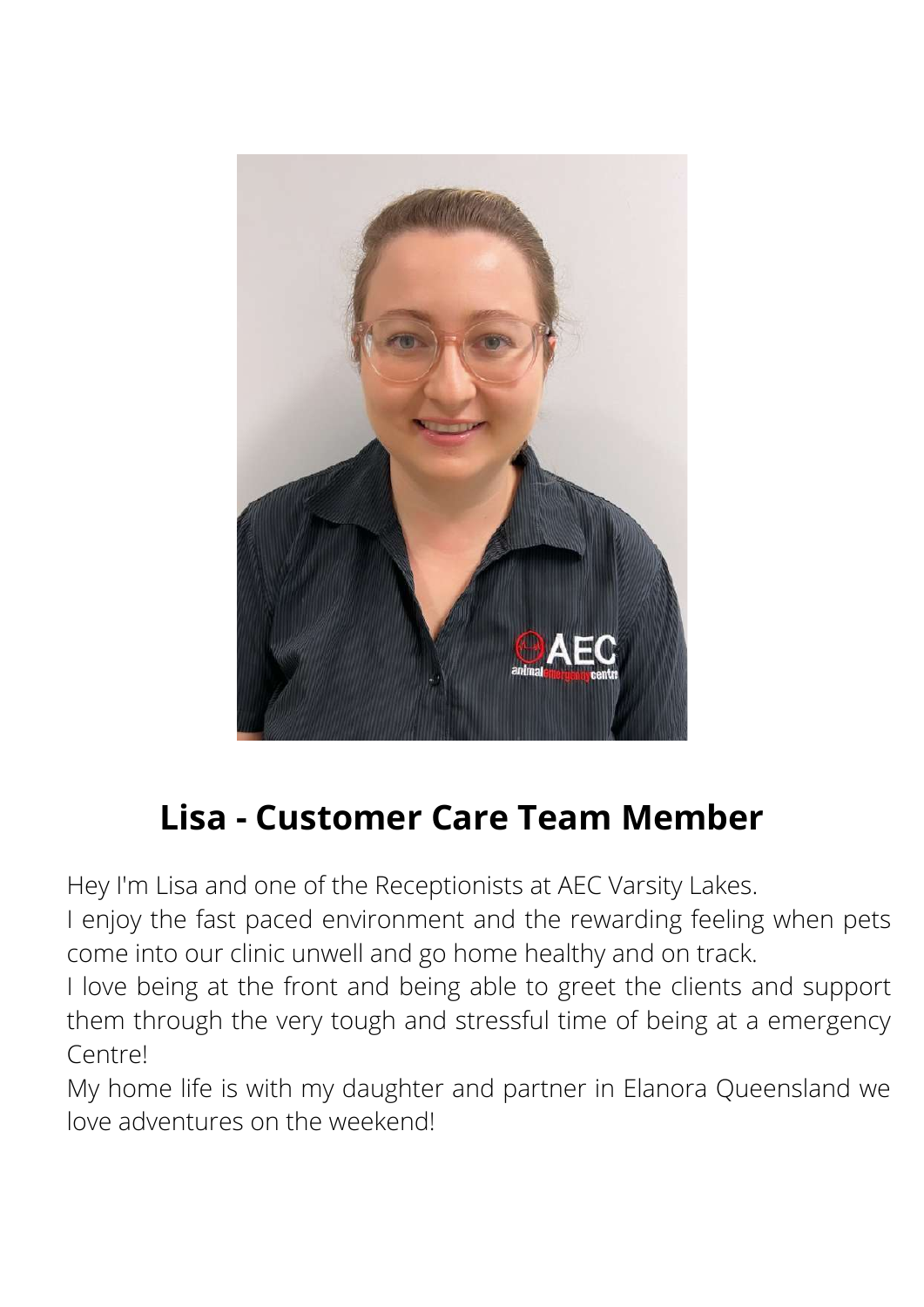

# **Lisa - Customer Care Team Member**

Hey I'm Lisa and one of the Receptionists at AEC Varsity Lakes.

I enjoy the fast paced environment and the rewarding feeling when pets come into our clinic unwell and go home healthy and on track.

I love being at the front and being able to greet the clients and support them through the very tough and stressful time of being at a emergency Centre!

My home life is with my daughter and partner in Elanora Queensland we love adventures on the weekend!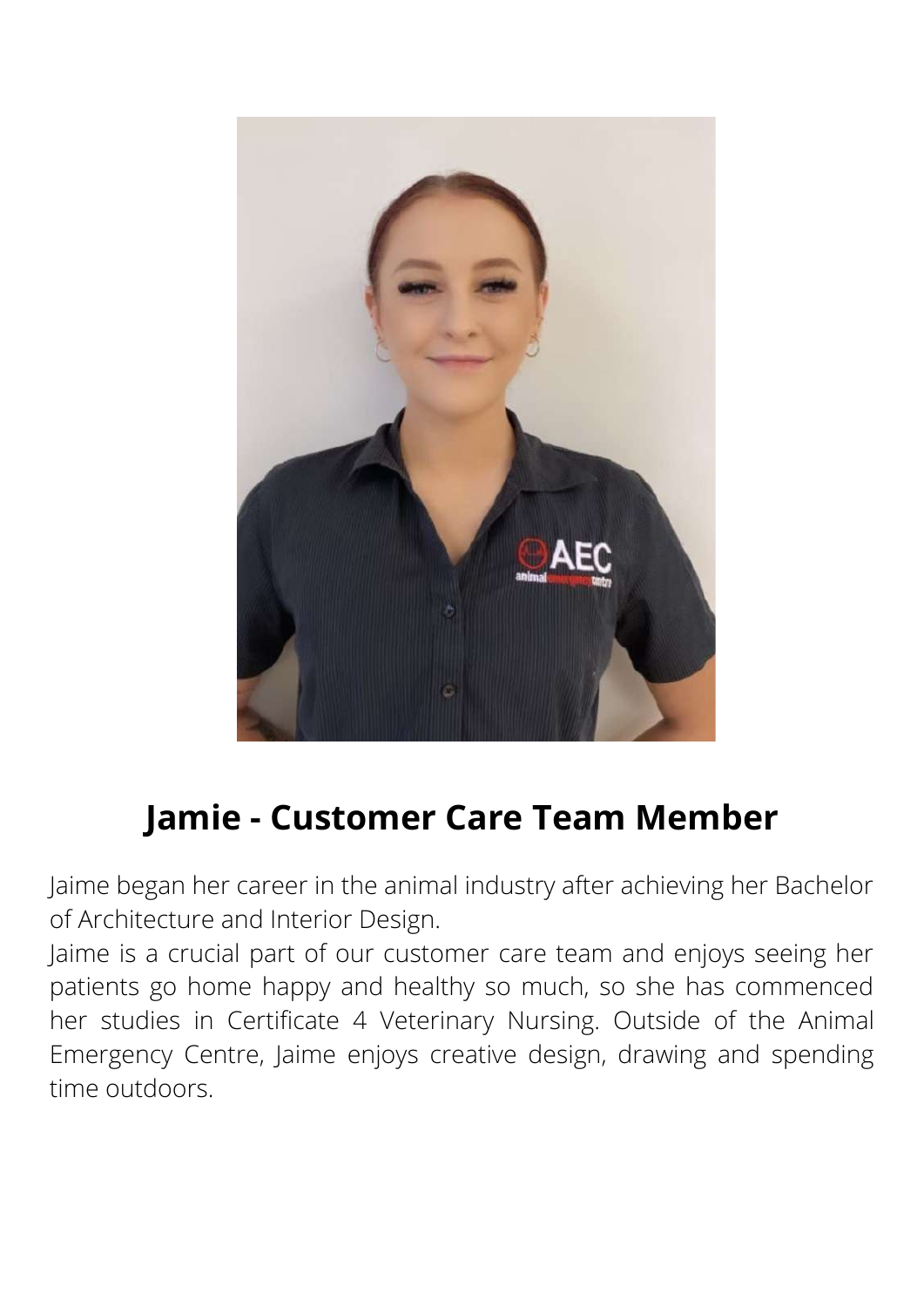

# **Jamie - Customer Care Team Member**

Jaime began her career in the animal industry after achieving her Bachelor of Architecture and Interior Design.

Jaime is a crucial part of our customer care team and enjoys seeing her patients go home happy and healthy so much, so she has commenced her studies in Certificate 4 Veterinary Nursing. Outside of the Animal Emergency Centre, Jaime enjoys creative design, drawing and spending time outdoors.